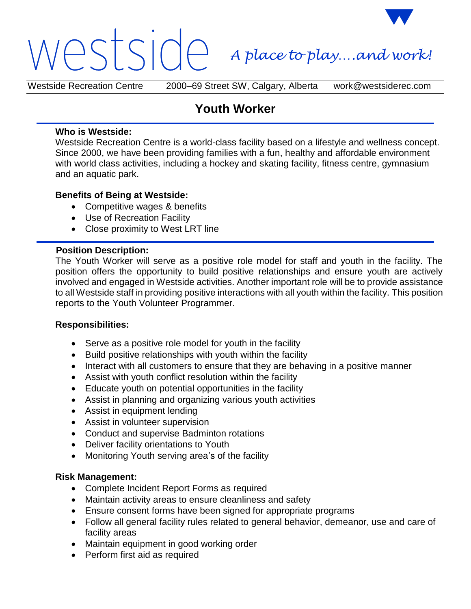# estside *A place to play….and work!*

Westside Recreation Centre 2000–69 Street SW, Calgary, Alberta work@westsiderec.com

# **Youth Worker**

#### **Who is Westside:**

Westside Recreation Centre is a world-class facility based on a lifestyle and wellness concept. Since 2000, we have been providing families with a fun, healthy and affordable environment with world class activities, including a hockey and skating facility, fitness centre, gymnasium and an aquatic park.

## **Benefits of Being at Westside:**

- Competitive wages & benefits
- Use of Recreation Facility
- Close proximity to West LRT line

#### **Position Description:**

The Youth Worker will serve as a positive role model for staff and youth in the facility. The position offers the opportunity to build positive relationships and ensure youth are actively involved and engaged in Westside activities. Another important role will be to provide assistance to all Westside staff in providing positive interactions with all youth within the facility. This position reports to the Youth Volunteer Programmer.

## **Responsibilities:**

- Serve as a positive role model for youth in the facility
- Build positive relationships with youth within the facility
- Interact with all customers to ensure that they are behaving in a positive manner
- Assist with youth conflict resolution within the facility
- Educate youth on potential opportunities in the facility
- Assist in planning and organizing various youth activities
- Assist in equipment lending
- Assist in volunteer supervision
- Conduct and supervise Badminton rotations
- Deliver facility orientations to Youth
- Monitoring Youth serving area's of the facility

#### **Risk Management:**

- Complete Incident Report Forms as required
- Maintain activity areas to ensure cleanliness and safety
- Ensure consent forms have been signed for appropriate programs
- Follow all general facility rules related to general behavior, demeanor, use and care of facility areas
- Maintain equipment in good working order
- Perform first aid as required